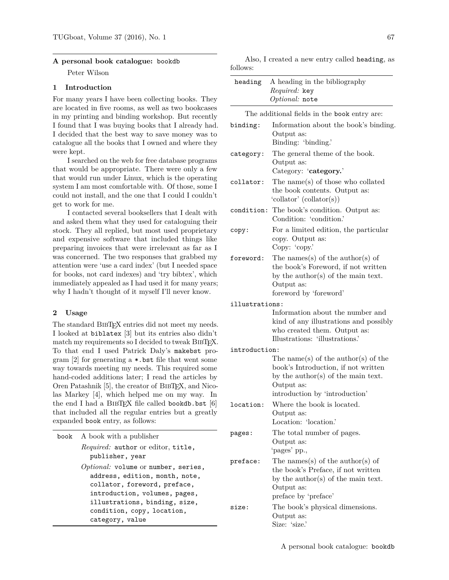#### **A personal book catalogue:** bookdb

Peter Wilson

# **1 Introduction**

For many years I have been collecting books. They are located in five rooms, as well as two bookcases in my printing and binding workshop. But recently I found that I was buying books that I already had. I decided that the best way to save money was to catalogue all the books that I owned and where they were kept.

I searched on the web for free database programs that would be appropriate. There were only a few that would run under Linux, which is the operating system I am most comfortable with. Of those, some I could not install, and the one that I could I couldn't get to work for me.

I contacted several booksellers that I dealt with and asked them what they used for cataloguing their stock. They all replied, but most used proprietary and expensive software that included things like preparing invoices that were irrelevant as far as I was concerned. The two responses that grabbed my attention were 'use a card index' (but I needed space for books, not card indexes) and 'try bibtex', which immediately appealed as I had used it for many years; why I hadn't thought of it myself I'll never know.

### **2 Usage**

The standard BibTEX entries did not meet my needs. I looked at biblatex [3] but its entries also didn't match my requirements so I decided to tweak BIBTFX. To that end I used Patrick Daly's makebst program [2] for generating a \*.bst file that went some way towards meeting my needs. This required some hand-coded additions later; I read the articles by Oren Patashnik [5], the creator of BibTEX, and Nicolas Markey [4], which helped me on my way. In the end I had a BIBTFX file called bookdb.bst  $[6]$ that included all the regular entries but a greatly expanded book entry, as follows:

| book | A book with a publisher                                                                                                                                                                                                    | pages:   | The total number of pages.                                                                                    |
|------|----------------------------------------------------------------------------------------------------------------------------------------------------------------------------------------------------------------------------|----------|---------------------------------------------------------------------------------------------------------------|
|      | <i>Required:</i> author or editor, title,<br>publisher, year                                                                                                                                                               | preface: | Output as:<br>'pages' pp.,<br>The names(s) of the author(s) of                                                |
|      | $Optional:$ volume or number, series,<br>address, edition, month, note,<br>collator, foreword, preface,<br>introduction, volumes, pages,<br>illustrations, binding, size,<br>condition, copy, location,<br>category, value |          | the book's Preface, if not written<br>by the author(s) of the main text<br>Output as:<br>preface by 'preface' |
|      |                                                                                                                                                                                                                            | size:    | The book's physical dimensions.<br>Output as:<br>Size: 'size.'                                                |
|      |                                                                                                                                                                                                                            |          |                                                                                                               |

Also, I created a new entry called heading, as follows:

| IOIIOWS:       |                                                                                                                                                                           |
|----------------|---------------------------------------------------------------------------------------------------------------------------------------------------------------------------|
| heading        | A heading in the bibliography<br>Required: key<br>Optional: note                                                                                                          |
|                | The additional fields in the book entry are:                                                                                                                              |
| binding:       | Information about the book's binding.<br>Output as:<br>Binding: 'binding.'                                                                                                |
| category:      | The general theme of the book.<br>Output as:<br>Category: 'category.'                                                                                                     |
| collator:      | The name(s) of those who collated<br>the book contents. Output as:<br>'collator' (collator(s))                                                                            |
| condition:     | The book's condition. Output as:<br>Condition: 'condition.'                                                                                                               |
| copy:          | For a limited edition, the particular<br>copy. Output as:<br>Copy: 'copy.'                                                                                                |
| foreword:      | The names(s) of the author(s) of<br>the book's Foreword, if not written<br>by the author(s) of the main text.<br>Output as:<br>foreword by 'foreword'                     |
| illustrations: |                                                                                                                                                                           |
|                | Information about the number and<br>kind of any illustrations and possibly<br>who created them. Output as:<br>Illustrations: 'illustrations.'                             |
| introduction:  |                                                                                                                                                                           |
|                | The name(s) of the author(s) of the<br>book's Introduction, if not written<br>by the $\text{author}(s)$ of the main text.<br>Output as:<br>introduction by 'introduction' |
| location:      | Where the book is located.<br>Output as:<br>Location: 'location.'                                                                                                         |
| pages:         | The total number of pages.<br>Output as:<br>'pages' pp.,                                                                                                                  |
| preface:       | The names(s) of the author(s) of<br>the book's Preface, if not written<br>by the author(s) of the main text.<br>Output as:<br>preface by 'preface'                        |
| size:          | The book's physical dimensions.<br>Output as:                                                                                                                             |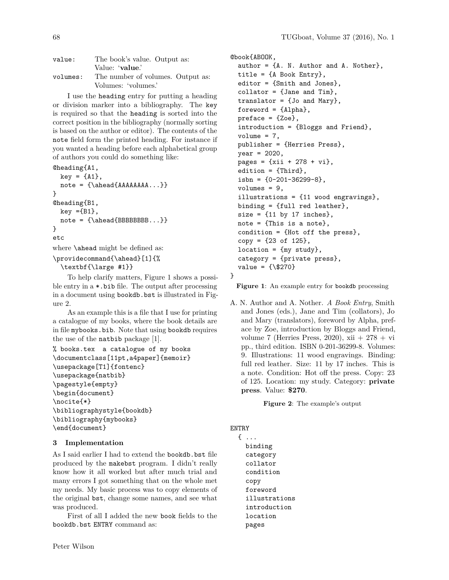| value:   | The book's value. Output as:      |
|----------|-----------------------------------|
|          | Value: 'value.'                   |
| volumes: | The number of volumes. Output as: |
|          | Volumes: 'volumes.'               |

I use the heading entry for putting a heading or division marker into a bibliography. The key is required so that the heading is sorted into the correct position in the bibliography (normally sorting is based on the author or editor). The contents of the note field form the printed heading. For instance if you wanted a heading before each alphabetical group of authors you could do something like:

```
@heading{A1,
 key = \{A1\},note = {\lambdaAAAAAA}
@heading{B1,
 key = {B1},
 note = {\lambda{BBBBBBBBB...}}}
etc
where \ahead might be defined as:
```
\providecommand{\ahead}[1]{% \textbf{\large #1}}

To help clarify matters, Figure 1 shows a possible entry in a \*.bib file. The output after processing in a document using bookdb.bst is illustrated in Figure 2.

As an example this is a file that I use for printing a catalogue of my books, where the book details are in file mybooks.bib. Note that using bookdb requires the use of the natbib package [1].

```
% books.tex a catalogue of my books
\documentclass[11pt,a4paper]{memoir}
\usepackage[T1]{fontenc}
\usepackage{natbib}
\pagestyle{empty}
\begin{document}
\nocite{*}
\bibliographystyle{bookdb}
\bibliography{mybooks}
\end{document}
```
#### **3 Implementation**

As I said earlier I had to extend the bookdb.bst file produced by the makebst program. I didn't really know how it all worked but after much trial and many errors I got something that on the whole met my needs. My basic process was to copy elements of the original bst, change some names, and see what was produced.

First of all I added the new book fields to the bookdb.bst ENTRY command as:

```
@book{ABOOK,
  author = {A. N. Author and A. Nother},
  title = {A} Book Entry},
  editor = {Smith and Jones},
  collator = {Jane and Tim},
  translator = {Jo and Mary},
  foreword = {Alpha},
  preface = \{Zoe\},introduction = {Bloggs and Friend},
  volume = 7,publisher = {Herries Press},
  year = 2020,pages = \{ xii + 278 + vi \},edition = {Third},
  isbn = \{0-201-36299-8\},\volumes = 9,
  illustrations = {11 wood engravings},
  binding = {full red leather},
  size = \{11 \text{ by } 17 \text{ inches}\},note = \{This is a note\},\condition = {Hot off the press},
  copy = {23 of 125},
  location = {my study},
  category = {private press},
  value = {\{\$270\}}}
```
Figure 1: An example entry for bookdb processing

A. N. Author and A. Nother. *A Book Entry*, Smith and Jones (eds.), Jane and Tim (collators), Jo and Mary (translators), foreword by Alpha, preface by Zoe, introduction by Bloggs and Friend, volume 7 (Herries Press, 2020), xii  $+278 + vi$ pp., third edition. ISBN 0-201-36299-8. Volumes: 9. Illustrations: 11 wood engravings. Binding: full red leather. Size: 11 by 17 inches. This is a note. Condition: Hot off the press. Copy: 23 of 125. Location: my study. Category: **private press**. Value: **\$270**.

**Figure 2**: The example's output

# ENTRY

```
{ ...
  binding
  category
  collator
  condition
  copy
  foreword
  illustrations
  introduction
  location
  pages
```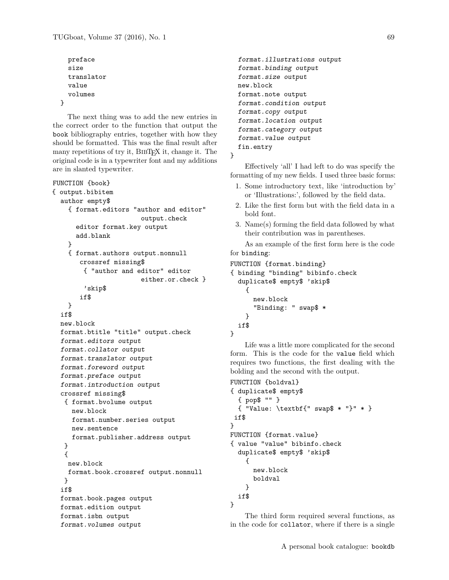```
preface
size
translator
value
volumes
```
}

The next thing was to add the new entries in the correct order to the function that output the book bibliography entries, together with how they should be formatted. This was the final result after many repetitions of try it, BIBTEX it, change it. The original code is in a typewriter font and my additions are in slanted typewriter.

```
FUNCTION {book}
{ output.bibitem
  author empty$
    { format.editors "author and editor"
                       output.check
      editor format.key output
      add.blank
   }
    { format.authors output.nonnull
       crossref missing$
        { "author and editor" editor
                       either.or.check }
        'skip$
       if$
   }
  if$
  new.block
  format.btitle "title" output.check
  format.editors output
  format.collator output
  format.translator output
  format.foreword output
  format.preface output
  format.introduction output
  crossref missing$
   { format.bvolume output
     new.block
     format.number.series output
    new.sentence
     format.publisher.address output
  }
   {
   new.block
   format.book.crossref output.nonnull
  }
  if$
  format.book.pages output
  format.edition output
  format.isbn output
  format.volumes output
```

```
format.illustrations output
format.binding output
format.size output
new.block
format.note output
format.condition output
format.copy output
format.location output
format.category output
format.value output
fin.entry
```
}

Effectively 'all' I had left to do was specify the formatting of my new fields. I used three basic forms:

- 1. Some introductory text, like 'introduction by' or 'Illustrations:', followed by the field data.
- 2. Like the first form but with the field data in a bold font.
- 3. Name(s) forming the field data followed by what their contribution was in parentheses.

As an example of the first form here is the code for binding:

```
FUNCTION {format.binding}
{ binding "binding" bibinfo.check
  duplicate$ empty$ 'skip$
    {
      new.block
      "Binding: " swap$ *
    }
  if$
}
```
Life was a little more complicated for the second form. This is the code for the value field which requires two functions, the first dealing with the bolding and the second with the output.

```
FUNCTION {boldval}
{ duplicate$ empty$
  { pop$ "" }
  { "Value: \textbf{" swap$ * "}" * }
if$
}
FUNCTION {format.value}
{ value "value" bibinfo.check
  duplicate$ empty$ 'skip$
    {
      new.block
      boldval
    }
  if$
}
```
The third form required several functions, as in the code for collator, where if there is a single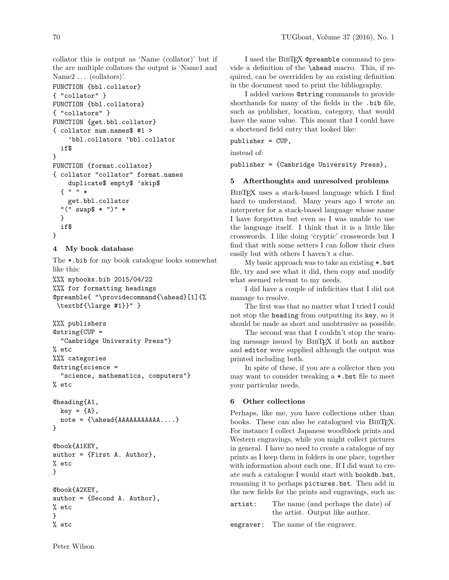collator this is output as 'Name (collator)' but if the are multiple collators the output is 'Name1 and Name2 ... (collators)'.

```
FUNCTION {bbl.collator}
{ "collator" }
FUNCTION {bbl.collators}
{ "collators" }
FUNCTION {get.bbl.collator}
{ collator num.names$ #1 >
    'bbl.collators 'bbl.collator
  if$
}
FUNCTION {format.collator}
{ collator "collator" format.names
    duplicate$ empty$ 'skip$
  { " " *
    get.bbl.collator
  "(" swap$ * ")" *
  }
 if$
}
```
### **4 My book database**

The \*.bib for my book catalogue looks somewhat like this:

%%% mybooks.bib 2015/04/22 %%% for formatting headings @preamble{ "\providecommand{\ahead}[1]{% \textbf{\large #1}}" }

```
%%% publishers
@string{CUP =
  "Cambridge University Press"}
% etc
%%% categories
@string{science =
  "science, mathematics, computers"}
% etc
```

```
@heading{A1,
 key = \{A\},note = {\ahead{AAAAAAAAAAAA...}
}
```

```
@book{A1KEY,
author = {First A. Author},
% etc
}
```

```
@book{A2KEY,
author = {Second A. Author},
% etc
}
% etc
```
I used the BIBT<sub>E</sub>X @preamble command to provide a definition of the \ahead macro. This, if required, can be overridden by an existing definition in the document used to print the bibliography.

I added various @string commands to provide shorthands for many of the fields in the .bib file, such as publisher, location, category, that would have the same value. This meant that I could have a shortened field entry that looked like:

publisher = CUP,

instead of:

publisher = {Cambridge University Press},

# **5 Afterthoughts and unresolved problems**

BibTEX uses a stack-based language which I find hard to understand. Many years ago I wrote an interpreter for a stack-based language whose name I have forgotten but even so I was unable to use the language itself. I think that it is a little like crosswords. I like doing 'cryptic' crosswords but I find that with some setters I can follow their clues easily but with others I haven't a clue.

My basic approach was to take an existing \*.bst file, try and see what it did, then copy and modify what seemed relevant to my needs.

I did have a couple of infelicities that I did not manage to resolve.

The first was that no matter what I tried I could not stop the heading from outputting its key, so it should be made as short and unobtrusive as possible.

The second was that I couldn't stop the warning message issued by BibTEX if both an author and editor were supplied although the output was printed including both.

In spite of these, if you are a collector then you may want to consider tweaking a \*.bst file to meet your particular needs.

### **6 Other collections**

Perhaps, like me, you have collections other than books. These can also be catalogued via BibTEX. For instance I collect Japanese woodblock prints and Western engravings, while you might collect pictures in general. I have no need to create a catalogue of my prints as I keep them in folders in one place, together with information about each one. If I did want to create such a catalogue I would start with bookdb.bst, renaming it to perhaps pictures.bst. Then add in the new fields for the prints and engravings, such as:

artist: The name (and perhaps the date) of the artist. Output like author.

engraver: The name of the engraver.